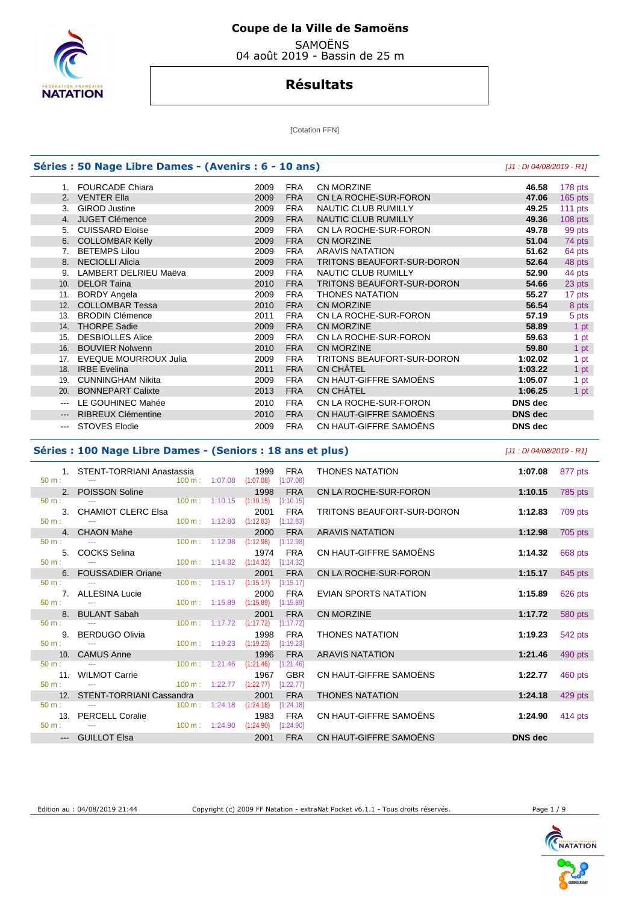

SAMOËNS

04 août 2019 - Bassin de 25 m

## **Résultats**

[Cotation FFN]

|             | Séries : 50 Nage Libre Dames - (Avenirs : 6 - 10 ans) |      |            |                                   |                |           |  |  |  |  |
|-------------|-------------------------------------------------------|------|------------|-----------------------------------|----------------|-----------|--|--|--|--|
|             | 1. FOURCADE Chiara                                    | 2009 | <b>FRA</b> | CN MORZINE                        | 46.58          | 178 pts   |  |  |  |  |
| $2^{\circ}$ | <b>VENTER Ella</b>                                    | 2009 | <b>FRA</b> | CN LA ROCHE-SUR-FORON             | 47.06          | $165$ pts |  |  |  |  |
| 3.          | <b>GIROD Justine</b>                                  | 2009 | <b>FRA</b> | <b>NAUTIC CLUB RUMILLY</b>        | 49.25          | 111 pts   |  |  |  |  |
| 4.          | <b>JUGET Clémence</b>                                 | 2009 | <b>FRA</b> | NAUTIC CLUB RUMILLY               | 49.36          | $108$ pts |  |  |  |  |
| 5.          | <b>CUISSARD Eloïse</b>                                | 2009 | <b>FRA</b> | CN LA ROCHE-SUR-FORON             | 49.78          | 99 pts    |  |  |  |  |
| 6.          | <b>COLLOMBAR Kelly</b>                                | 2009 | <b>FRA</b> | <b>CN MORZINE</b>                 | 51.04          | 74 pts    |  |  |  |  |
| 7.          | <b>BETEMPS Lilou</b>                                  | 2009 | <b>FRA</b> | <b>ARAVIS NATATION</b>            | 51.62          | 64 pts    |  |  |  |  |
| 8.          | <b>NECIOLLI Alicia</b>                                | 2009 | <b>FRA</b> | <b>TRITONS BEAUFORT-SUR-DORON</b> | 52.64          | 48 pts    |  |  |  |  |
| 9.          | LAMBERT DELRIEU Maëva                                 | 2009 | <b>FRA</b> | <b>NAUTIC CLUB RUMILLY</b>        | 52.90          | 44 pts    |  |  |  |  |
| 10.         | <b>DELOR Taina</b>                                    | 2010 | <b>FRA</b> | TRITONS BEAUFORT-SUR-DORON        | 54.66          | 23 pts    |  |  |  |  |
| 11.         | <b>BORDY Angela</b>                                   | 2009 | <b>FRA</b> | <b>THONES NATATION</b>            | 55.27          | 17 pts    |  |  |  |  |
| 12.         | <b>COLLOMBAR Tessa</b>                                | 2010 | <b>FRA</b> | CN MORZINE                        | 56.54          | 8 pts     |  |  |  |  |
| 13.         | <b>BRODIN Clémence</b>                                | 2011 | <b>FRA</b> | CN LA ROCHE-SUR-FORON             | 57.19          | 5 pts     |  |  |  |  |
| 14.         | <b>THORPE Sadie</b>                                   | 2009 | <b>FRA</b> | CN MORZINE                        | 58.89          | 1 pt      |  |  |  |  |
| 15.         | <b>DESBIOLLES Alice</b>                               | 2009 | <b>FRA</b> | CN LA ROCHE-SUR-FORON             | 59.63          | 1 pt      |  |  |  |  |
| 16.         | <b>BOUVIER Nolwenn</b>                                | 2010 | <b>FRA</b> | CN MORZINE                        | 59.80          | 1 pt      |  |  |  |  |
| 17.         | <b>EVEQUE MOURROUX Julia</b>                          | 2009 | <b>FRA</b> | <b>TRITONS BEAUFORT-SUR-DORON</b> | 1:02.02        | 1 pt      |  |  |  |  |
| 18.         | <b>IRBE</b> Evelina                                   | 2011 | <b>FRA</b> | CN CHÂTEL                         | 1:03.22        | 1 pt      |  |  |  |  |
| 19.         | <b>CUNNINGHAM Nikita</b>                              | 2009 | <b>FRA</b> | CN HAUT-GIFFRE SAMOËNS            | 1:05.07        | 1 pt      |  |  |  |  |
| 20.         | <b>BONNEPART Calixte</b>                              | 2013 | <b>FRA</b> | <b>CN CHÂTEL</b>                  | 1:06.25        | 1 pt      |  |  |  |  |
| ---         | LE GOUHINEC Mahée                                     | 2010 | <b>FRA</b> | CN LA ROCHE-SUR-FORON             | <b>DNS</b> dec |           |  |  |  |  |
| $---$       | RIBREUX Clémentine                                    | 2010 | <b>FRA</b> | CN HAUT-GIFFRE SAMOËNS            | <b>DNS</b> dec |           |  |  |  |  |
| $\cdots$    | <b>STOVES Elodie</b>                                  | 2009 | <b>FRA</b> | CN HAUT-GIFFRE SAMOËNS            | <b>DNS</b> dec |           |  |  |  |  |

#### **Séries : 100 Nage Libre Dames - (Seniors : 18 ans et plus)** [J1 : Di 04/08/2019 - R1]

|          | 1. STENT-TORRIANI Anastassia 1999 FRA                                        |                                    |      |             | <b>THONES NATATION</b>                                                                                         | 1:07.08 877 pts           |         |
|----------|------------------------------------------------------------------------------|------------------------------------|------|-------------|----------------------------------------------------------------------------------------------------------------|---------------------------|---------|
| $50 m$ : | $\frac{100 \text{ m}}{100 \text{ m}}$ (1:07.08 (1:07.08) [1:07.08]           |                                    |      |             |                                                                                                                |                           |         |
|          | 2. POISSON Soline 1998 FRA<br>50 m : --- 100 m : 1:10.15 (1:10.15) [1:10.15] |                                    |      | <b>FRA</b>  | CN LA ROCHE-SUR-FORON DESCRIPTION OF THE SURFERIES OF THE SURFERIES OF THE SURFERIES OF THE SURFERIES OF THE S | 1:10.15 785 pts           |         |
|          |                                                                              |                                    |      |             |                                                                                                                |                           |         |
|          | 3. CHAMIOT CLERC Elsa                                                        |                                    | 2001 | FRA         | TRITONS BEAUFORT-SUR-DORON                                                                                     | 1:12.83 709 pts           |         |
|          | $50 \text{ m}$ : $  -$                                                       | 100 m: 1:12.83 (1:12.83) [1:12.83] |      |             |                                                                                                                |                           |         |
|          | 4. CHAON Mahe                                                                |                                    | 2000 | <b>FRA</b>  | ARAVIS NATATION                                                                                                | 1:12.98                   | 705 pts |
|          | $50 \text{ m}$ : $\qquad -1$                                                 | 100 m: 1:12.98 (1:12.98) [1:12.98] |      |             |                                                                                                                |                           |         |
|          | 5. COCKS Selina                                                              |                                    |      | 1974 FRA    | CN HAUT-GIFFRE SAMOËNS                                                                                         | 1:14.32 668 pts           |         |
|          | $50 \text{ m}$ : $  -$                                                       | 100 m: 1:14.32 (1:14.32) [1:14.32] |      |             |                                                                                                                |                           |         |
|          | 6. FOUSSADIER Oriane                                                         |                                    | 2001 | <b>FRA</b>  | CN LA ROCHE-SUR-FORON                                                                                          | 1:15.17 645 pts           |         |
|          | $50 \text{ m}$ : $\qquad \qquad \text{---}$                                  | 100 m: 1:15.17 (1:15.17) [1:15.17] |      |             |                                                                                                                |                           |         |
|          | 7. ALLESINA Lucie                                                            |                                    |      | 2000 FRA    | EVIAN SPORTS NATATION                                                                                          | 1:15.89 626 pts           |         |
|          | $50 \text{ m}$ : $-$                                                         | 100 m: 1:15.89 (1:15.89) [1:15.89] |      |             |                                                                                                                |                           |         |
|          | 8. BULANT Sabah                                                              |                                    | 2001 | <b>FRA</b>  | CN MORZINE                                                                                                     | 1:17.72                   | 580 pts |
|          | $50 m$ : $-$                                                                 | 100 m: 1:17.72 (1:17.72) [1:17.72] |      |             |                                                                                                                |                           |         |
|          | 9. BERDUGO Olivia                                                            |                                    | 1998 | FRA         | <b>THONES NATATION</b>                                                                                         | 1:19.23                   | 542 pts |
|          | $50 \text{ m}$ : $-$                                                         | 100 m: 1:19.23 (1:19.23) [1:19.23] |      |             |                                                                                                                |                           |         |
|          | 10. CAMUS Anne 1996 FRA<br>50 m : 100 m : 1:21.46 (1:21.46) [1:21.46]        |                                    |      |             | ARAVIS NATATION                                                                                                | 1:21.46 $490 \text{ pts}$ |         |
|          |                                                                              |                                    |      |             |                                                                                                                |                           |         |
|          | 11. WILMOT Carrie                                                            |                                    |      | 1967 GBR    | CN HAUT-GIFFRE SAMOËNS                                                                                         | 1:22.77 460 pts           |         |
|          |                                                                              |                                    |      |             |                                                                                                                |                           |         |
|          | 12. STENT-TORRIANI Cassandra                                                 |                                    | 2001 | <b>FRA</b>  | THONES NATATION                                                                                                | 1:24.18 429 pts           |         |
|          | $50 \text{ m}:$ --- $1:24.18$ (1:24.18)                                      |                                    |      | $[1:24.18]$ |                                                                                                                |                           |         |
|          | 13. PERCELL Coralie <b>1983</b> FRA                                          |                                    |      |             | CN HAUT-GIFFRE SAMOËNS                                                                                         | 1:24.90 414 pts           |         |
|          | 50 m : -- - - - - - - - - - - - - - 100 m : 1:24.90 (1:24.90) [1:24.90]      |                                    |      |             |                                                                                                                |                           |         |
|          | --- GUILLOT Elsa                                                             |                                    | 2001 | <b>FRA</b>  | CN HAUT-GIFFRE SAMOËNS                                                                                         | <b>DNS</b> dec            |         |



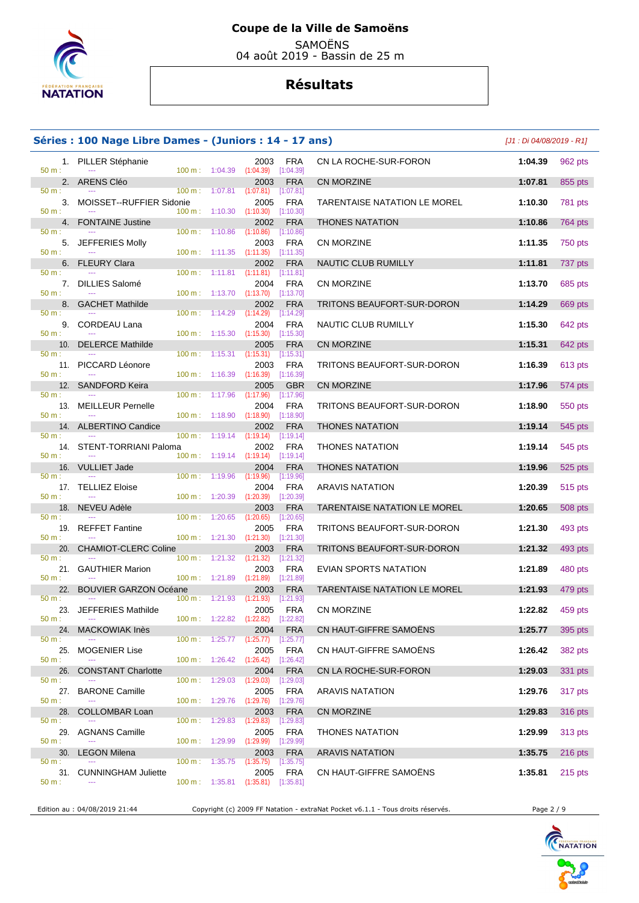

SAMOËNS

04 août 2019 - Bassin de 25 m

## **Résultats**

#### **Séries : 100 Nage Libre Dames - (Juniors : 14 - 17 ans)** [J1 : Di 04/08/2019 - R1]

|          | 1. PILLER Stéphanie                |                          |                                      | 2003                                                     | FRA                     | CN LA ROCHE-SUR-FORON           | 1:04.39 | 962 pts        |
|----------|------------------------------------|--------------------------|--------------------------------------|----------------------------------------------------------|-------------------------|---------------------------------|---------|----------------|
| 50 m:    | 2. ARENS Cléo                      |                          | 100 m: 1:04.39                       | (1:04.39)<br>2003                                        | [1:04.39]<br><b>FRA</b> | <b>CN MORZINE</b>               | 1:07.81 | 855 pts        |
| 50 m:    |                                    | 100 m: 1:07.81           |                                      | (1:07.81)                                                | [1:07.81]               |                                 |         |                |
|          | 3. MOISSET--RUFFIER Sidonie        |                          |                                      | 2005                                                     | <b>FRA</b>              | TARENTAISE NATATION LE MOREL    | 1:10.30 | <b>781 pts</b> |
| $50 m$ : |                                    |                          | $100 \text{ m}: 1:10.30$             | (1:10.30)                                                | [1:10.30]               |                                 |         |                |
| 50 m:    | 4. FONTAINE Justine                | $100 \text{ m}: 1:10.86$ |                                      | 2002<br>(1:10.86)                                        | <b>FRA</b><br>[1:10.86] | <b>THONES NATATION</b>          | 1:10.86 | 764 pts        |
|          | 5. JEFFERIES Molly                 |                          |                                      | 2003                                                     | <b>FRA</b>              | <b>CN MORZINE</b>               | 1:11.35 | 750 pts        |
| 50 m:    |                                    |                          |                                      | 100 m: 1:11.35 (1:11.35) [1:11.35]                       |                         |                                 |         |                |
| 50 m:    | 6. FLEURY Clara                    |                          |                                      | 2002<br>$100 \text{ m}: 1:11.81$ $(1:11.81)$ $[1:11.81]$ | <b>FRA</b>              | NAUTIC CLUB RUMILLY             | 1:11.81 | 737 pts        |
|          | 7. DILLIES Salomé                  |                          |                                      | 2004                                                     | FRA                     | <b>CN MORZINE</b>               | 1:13.70 | 685 pts        |
| 50 m:    |                                    |                          | $100 \text{ m}: 1:13.70$             | $(1:13.70)$ $[1:13.70]$                                  |                         |                                 |         |                |
| 50 m:    | 8. GACHET Mathilde                 |                          | $100 m$ : 1:14.29                    | 2002<br>(1:14.29)                                        | <b>FRA</b><br>[1:14.29] | TRITONS BEAUFORT-SUR-DORON      | 1:14.29 | 669 pts        |
|          | 9. CORDEAU Lana                    |                          |                                      | 2004                                                     | <b>FRA</b>              | NAUTIC CLUB RUMILLY             | 1:15.30 | 642 pts        |
| 50 m:    |                                    |                          | $100 \text{ m}: 1:15.30$             | (1:15.30)                                                | [1:15.30]               |                                 |         |                |
| 50 m:    | 10. DELERCE Mathilde               | $100 \text{ m}$ :        | 1:15.31                              | 2005<br>$(1:15.31)$ $[1:15.31]$                          | <b>FRA</b>              | <b>CN MORZINE</b>               | 1:15.31 | 642 pts        |
|          | 11. PICCARD Léonore                |                          |                                      | 2003                                                     | FRA                     | TRITONS BEAUFORT-SUR-DORON      | 1:16.39 | 613 pts        |
| 50 m:    |                                    |                          | $100 \text{ m}: 1:16.39$ $(1:16.39)$ |                                                          | [1:16.39]               |                                 |         |                |
| $50 m$ : | 12. SANDFORD Keira                 | $100 \text{ m}$ :        |                                      | 2005                                                     | <b>GBR</b>              | CN MORZINE                      | 1:17.96 | 574 pts        |
|          | 13. MEILLEUR Pernelle              |                          | 1:17.96                              | (1:17.96)<br>2004                                        | $[1:17.96]$<br>FRA      | TRITONS BEAUFORT-SUR-DORON      | 1:18.90 | 550 pts        |
| $50 m$ : |                                    |                          | $100 \text{ m}: 1:18.90$             | $(1:18.90)$ $[1:18.90]$                                  |                         |                                 |         |                |
|          | 14. ALBERTINO Candice              |                          |                                      | 2002                                                     | <b>FRA</b>              | <b>THONES NATATION</b>          | 1:19.14 | 545 pts        |
| $50 m$ : | 14. STENT-TORRIANI Paloma          |                          | $100 \text{ m}: 1:19.14$             | (1:19.14)<br>2002                                        | [1:19.14]<br>FRA        | <b>THONES NATATION</b>          | 1:19.14 | 545 pts        |
| 50 m:    |                                    |                          |                                      | $100 \text{ m}: 1:19.14$ $(1:19.14)$                     | [1:19.14]               |                                 |         |                |
|          | 16. VULLIET Jade                   |                          |                                      | 2004                                                     | <b>FRA</b>              | <b>THONES NATATION</b>          | 1:19.96 | 525 pts        |
| 50 m:    | 17. TELLIEZ Eloise                 | $100 \text{ m}: 1:19.96$ |                                      | (1:19.96)<br>2004                                        | [1:19.96]<br><b>FRA</b> | <b>ARAVIS NATATION</b>          | 1:20.39 | 515 pts        |
| 50 m:    |                                    | $100 \text{ m}: 1:20.39$ |                                      | (1:20.39)                                                | [1:20.39]               |                                 |         |                |
|          | 18. NEVEU Adèle                    |                          |                                      | 2003                                                     | <b>FRA</b>              | TARENTAISE NATATION LE MOREL    | 1:20.65 | <b>508 pts</b> |
| 50 m:    | 19. REFFET Fantine                 | 100 m:                   | 1:20.65                              | $(1:20.65)$ $[1:20.65]$<br>2005                          | <b>FRA</b>              | TRITONS BEAUFORT-SUR-DORON      | 1:21.30 | 493 pts        |
| $50 m$ : |                                    |                          | $100 \text{ m}: 1:21.30$             | $(1:21.30)$ [1:21.30]                                    |                         |                                 |         |                |
|          | 20. CHAMIOT-CLERC Coline           |                          |                                      | 2003                                                     | <b>FRA</b>              | TRITONS BEAUFORT-SUR-DORON      | 1:21.32 | 493 pts        |
| 50 m:    | 21. GAUTHIER Marion                | $100 \text{ m}: 1:21.32$ |                                      | (1:21.32)<br>2003                                        | [1:21.32]<br><b>FRA</b> | EVIAN SPORTS NATATION           | 1:21.89 | 480 pts        |
| 50 m:    |                                    |                          | $100 \text{ m}: 1:21.89$ $(1:21.89)$ |                                                          | [1:21.89]               |                                 |         |                |
| 22.      | <b>BOUVIER GARZON Océane</b>       |                          |                                      | 2003                                                     | <b>FRA</b>              | TARENTAISE NATATION LE MOREL    | 1:21.93 | 479 pts        |
| 50 m:    | $  \sim$<br>23. JEFFERIES Mathilde |                          | $100 \text{ m}: 1:21.93$             | (1:21.93)<br>2005                                        | [1:21.93]<br><b>FRA</b> | CN MORZINE                      | 1:22.82 | 459 pts        |
| $50 m$ : | $\sim$                             |                          |                                      | 100 m: 1:22.82 (1:22.82) [1:22.82]                       |                         |                                 |         |                |
|          | 24. MACKOWIAK Inès                 |                          |                                      |                                                          |                         | 2004 FRA CN HAUT-GIFFRE SAMOËNS | 1:25.77 | 395 pts        |
| 50 m:    |                                    |                          |                                      | $100 \text{ m}: 1:25.77$ $(1:25.77)$ $[1:25.77]$<br>2005 |                         | CN HAUT-GIFFRE SAMOËNS          | 1:26.42 | 382 pts        |
| 50 m:    | 25. MOGENIER Lise                  |                          |                                      | 100 m: 1:26.42 (1:26.42) [1:26.42]                       | <b>FRA</b>              |                                 |         |                |
|          | 26. CONSTANT Charlotte             |                          |                                      | 2004                                                     | <b>FRA</b>              | CN LA ROCHE-SUR-FORON           | 1:29.03 | 331 pts        |
| $50 m$ : |                                    |                          | $100 \text{ m}: 1:29.03$             | $(1:29.03)$ [1:29.03]                                    |                         |                                 |         |                |
| 50 m:    | 27. BARONE Camille                 |                          |                                      | 2005<br>100 m: 1:29.76 (1:29.76) [1:29.76]               | <b>FRA</b>              | <b>ARAVIS NATATION</b>          | 1:29.76 | 317 pts        |
| 28.      | <b>COLLOMBAR Loan</b>              |                          |                                      | 2003                                                     | <b>FRA</b>              | CN MORZINE                      | 1:29.83 | 316 pts        |
| 50 m:    |                                    |                          |                                      | 100 m: 1:29.83 (1:29.83) [1:29.83]                       |                         |                                 |         |                |
| $50 m$ : | 29. AGNANS Camille                 |                          |                                      | 2005<br>100 m: 1:29.99 (1:29.99) [1:29.99]               | <b>FRA</b>              | <b>THONES NATATION</b>          | 1:29.99 | 313 pts        |
|          | 30. LEGON Milena                   |                          |                                      | 2003                                                     | <b>FRA</b>              | <b>ARAVIS NATATION</b>          | 1:35.75 | 216 pts        |
| $50 m$ : |                                    |                          |                                      | 100 m: 1:35.75 (1:35.75) [1:35.75]                       |                         |                                 |         |                |
| 50 m:    | 31. CUNNINGHAM Juliette            |                          |                                      | 2005<br>100 m: 1:35.81 (1:35.81) [1:35.81]               | <b>FRA</b>              | CN HAUT-GIFFRE SAMOËNS          | 1:35.81 | 215 pts        |
|          |                                    |                          |                                      |                                                          |                         |                                 |         |                |
|          |                                    |                          |                                      |                                                          |                         |                                 |         |                |

Edition au : 04/08/2019 21:44 Copyright (c) 2009 FF Natation - extraNat Pocket v6.1.1 - Tous droits réservés. Page 2 / 9

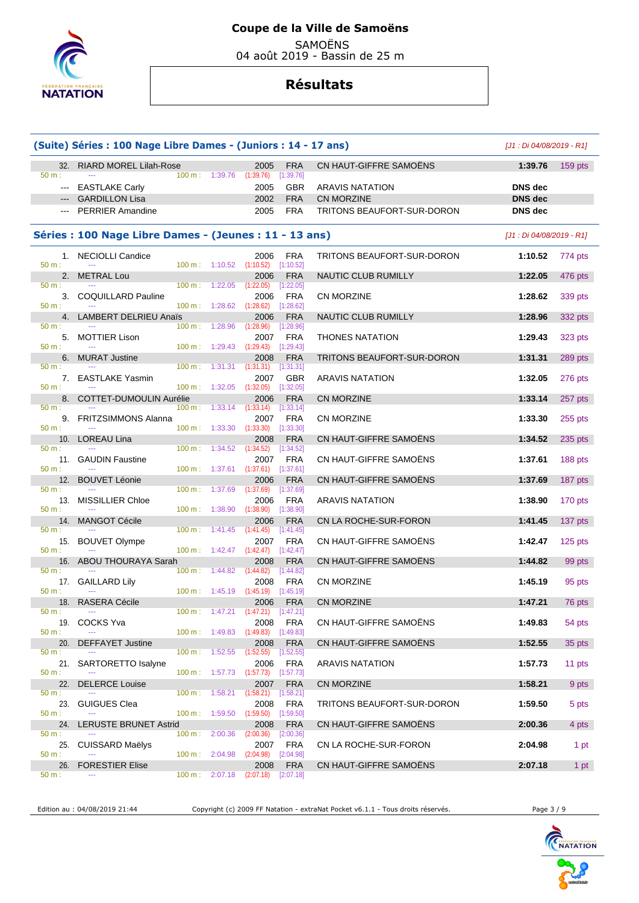

 SAMOËNS 04 août 2019 - Bassin de 25 m

## **Résultats**

|                            | (Suite) Séries : 100 Nage Libre Dames - (Juniors : 14 - 17 ans) |                   |                           |                            | [J1 : Di 04/08/2019 - R1] |           |
|----------------------------|-----------------------------------------------------------------|-------------------|---------------------------|----------------------------|---------------------------|-----------|
| 32.<br>50 m:               | <b>RIARD MOREL Lilah-Rose</b><br>1:39.76<br>$100 \text{ m}$ :   | 2005<br>(1:39.76) | <b>FRA</b><br>[1:39.76]   | CN HAUT-GIFFRE SAMOËNS     | 1:39.76                   | $159$ pts |
| $\qquad \qquad - -$        | <b>EASTLAKE Carly</b>                                           | 2005              | <b>GBR</b>                | <b>ARAVIS NATATION</b>     | <b>DNS</b> dec            |           |
|                            | <b>GARDILLON Lisa</b>                                           | 2002              | <b>FRA</b>                | CN MORZINE                 | <b>DNS</b> dec            |           |
|                            | <b>PERRIER Amandine</b>                                         | 2005              | <b>FRA</b>                | TRITONS BEAUFORT-SUR-DORON | <b>DNS</b> dec            |           |
|                            | Séries : 100 Nage Libre Dames - (Jeunes : 11 - 13 ans)          |                   |                           |                            | [J1 : Di 04/08/2019 - R1] |           |
| 50 m:                      | 1. NECIOLLI Candice<br>$100 \text{ m}: 1:10.52$ $(1:10.52)$     | 2006              | FRA<br>[1:10.52]          | TRITONS BEAUFORT-SUR-DORON | 1:10.52                   | 774 pts   |
| 2 <sub>1</sub><br>$50 m$ : | <b>METRAL Lou</b>                                               | 2006              | <b>FRA</b>                | NAUTIC CLUB RUMILLY        | 1:22.05                   | 476 pts   |
| 3.                         | $100 \text{ m}$ :<br>1:22.05<br>COQUILLARD Pauline              | (1:22.05)<br>2006 | [1:22.05]<br><b>FRA</b>   | CN MORZINE                 | 1:28.62                   | 339 pts   |
| 50 m:<br>4.                | 100 m: 1:28.62<br>LAMBERT DELRIEU Anaïs                         | (1:28.62)<br>2006 | [1:28.62]<br><b>FRA</b>   | NAUTIC CLUB RUMILLY        | 1:28.96                   | 332 pts   |
| 50 m:                      | 100 m: 1:28.96                                                  | (1:28.96)         | [1:28.96]                 |                            |                           |           |
| 5.<br>50 m:                | <b>MOTTIER Lison</b><br>$100 m$ : 1:29.43                       | 2007<br>(1:29.43) | <b>FRA</b><br>[1:29.43]   | <b>THONES NATATION</b>     | 1:29.43                   | 323 pts   |
| 50 m:                      | 6. MURAT Justine<br>$100 \text{ m}: 1:31.31$                    | 2008<br>(1:31.31) | <b>FRA</b><br>[1:31.31]   | TRITONS BEAUFORT-SUR-DORON | 1:31.31                   | 289 pts   |
|                            | 7. EASTLAKE Yasmin                                              | 2007              | <b>GBR</b>                | <b>ARAVIS NATATION</b>     | 1:32.05                   | 276 pts   |
| 50 m:<br>8.                | $100 m$ : 1:32.05<br>COTTET-DUMOULIN Aurélie                    | (1:32.05)<br>2006 | [1:32.05]<br><b>FRA</b>   | <b>CN MORZINE</b>          | 1:33.14                   | 257 pts   |
| $50 m$ :                   | $100 \text{ m}$ :<br>1:33.14                                    | (1:33.14)         | [1:33.14]                 |                            |                           |           |
| 50 m:                      | 9. FRITZSIMMONS Alanna<br>$100 \text{ m}: 1:33.30$              | 2007<br>(1:33.30) | <b>FRA</b><br>[1:33.30]   | CN MORZINE                 | 1:33.30                   | 255 pts   |
| 50 m:                      | 10. LOREAU Lina<br>1:34.52<br>$100 \text{ m}$ :                 | 2008<br>(1:34.52) | <b>FRA</b><br>[1:34.52]   | CN HAUT-GIFFRE SAMOËNS     | 1:34.52                   | 235 pts   |
| 11.                        | <b>GAUDIN Faustine</b>                                          | 2007              | <b>FRA</b>                | CN HAUT-GIFFRE SAMOËNS     | 1:37.61                   | 188 pts   |
| 50 m:<br>12.               | 100 m: 1:37.61<br><b>BOUVET Léonie</b>                          | (1:37.61)<br>2006 | [1:37.61]<br><b>FRA</b>   | CN HAUT-GIFFRE SAMOENS     | 1:37.69                   | 187 pts   |
| 50 m:<br>13.               | $100 m$ :<br>1:37.69<br>MISSILLIER Chloe                        | (1:37.69)<br>2006 | [1:37.69]<br><b>FRA</b>   | <b>ARAVIS NATATION</b>     | 1:38.90                   | 170 pts   |
| 50 m:                      | $100 \text{ m}: 1:38.90 (1:38.90)$                              |                   | [1:38.90]                 |                            |                           |           |
| 14.<br>50 m:               | <b>MANGOT Cécile</b><br>$100 \text{ m}$ :<br>1:41.45            | 2006<br>(1:41.45) | <b>FRA</b><br>[1:41.45]   | CN LA ROCHE-SUR-FORON      | 1:41.45                   | 137 pts   |
| 15.                        | <b>BOUVET Olympe</b>                                            | 2007              | <b>FRA</b>                | CN HAUT-GIFFRE SAMOENS     | 1:42.47                   | 125 pts   |
| 50 m:                      | 100 m: 1:42.47 (1:42.47) [1:42.47]<br>16. ABOU THOURAYA Sarah   | 2008              | <b>FRA</b>                | CN HAUT-GIFFRE SAMOËNS     | 1:44.82                   | 99 pts    |
| 50 m:                      | 1:44.82<br>$100 \text{ m}$ :                                    | (1:44.82)         | $[1:44.82]$               |                            |                           |           |
| 17.<br>50 m:               | <b>GAILLARD Lily</b><br>$100 \text{ m}: 1:45.19$                | 2008<br>(1:45.19) | <b>FRA</b><br>[1:45.19]   | CN MORZINE                 | 1:45.19                   | 95 pts    |
| 50 m:                      | 18. RASERA Cécile<br>100 m: 1:47.21 (1:47.21) [1:47.21]         | 2006              | <b>FRA</b>                | <b>CN MORZINE</b>          | 1:47.21                   | 76 pts    |
|                            | 19. COCKS Yva                                                   | 2008              | FRA                       | CN HAUT-GIFFRE SAMOËNS     | 1:49.83                   | 54 pts    |
| 50 m:<br>20.               | $100 \text{ m}: 1:49.83$ $(1:49.83)$<br><b>DEFFAYET Justine</b> | 2008              | [1:49.83]<br><b>FRA</b>   | CN HAUT-GIFFRE SAMOËNS     | 1:52.55                   | 35 pts    |
| $50 m$ :                   | 1:52.55<br>$100 \text{ m}$ :                                    | (1:52.55)         | $[1:52.55]$               |                            |                           |           |
| 21.<br>50 m:               | SARTORETTO Isalyne<br>100 m: 1:57.73 (1:57.73) [1:57.73]        | 2006              | FRA                       | <b>ARAVIS NATATION</b>     | 1:57.73                   | 11 pts    |
| 22.                        | <b>DELERCE Louise</b>                                           | 2007              | <b>FRA</b>                | CN MORZINE                 | 1:58.21                   | 9 pts     |
| $50 m$ :<br>23.            | 100 m: 1:58.21<br><b>GUIGUES Clea</b>                           | (1:58.21)<br>2008 | [1:58.21]<br><b>FRA</b>   | TRITONS BEAUFORT-SUR-DORON | 1:59.50                   | 5 pts     |
| 50 m:                      | 100 m: 1:59.50<br><b>LERUSTE BRUNET Astrid</b>                  | (1:59.50)<br>2008 | [1:59.50]                 |                            |                           |           |
| 24.<br>50 m:               | 100 m:<br>2:00.36                                               | (2:00.36)         | <b>FRA</b><br>$[2:00.36]$ | CN HAUT-GIFFRE SAMOENS     | 2:00.36                   | 4 pts     |
| 25.<br>50 m:               | <b>CUISSARD Maëlys</b><br>$100 \text{ m}: 2:04.98$              | 2007<br>(2:04.98) | <b>FRA</b><br>$[2:04.98]$ | CN LA ROCHE-SUR-FORON      | 2:04.98                   | 1 pt      |
| 26.                        | <b>FORESTIER Elise</b>                                          | 2008              | <b>FRA</b>                | CN HAUT-GIFFRE SAMOËNS     | 2:07.18                   | 1 pt      |
| 50 m:                      | 100 m: 2:07.18                                                  | (2:07.18)         | [2:07.18]                 |                            |                           |           |

Edition au : 04/08/2019 21:44 Copyright (c) 2009 FF Natation - extraNat Pocket v6.1.1 - Tous droits réservés. Page 3 / 9



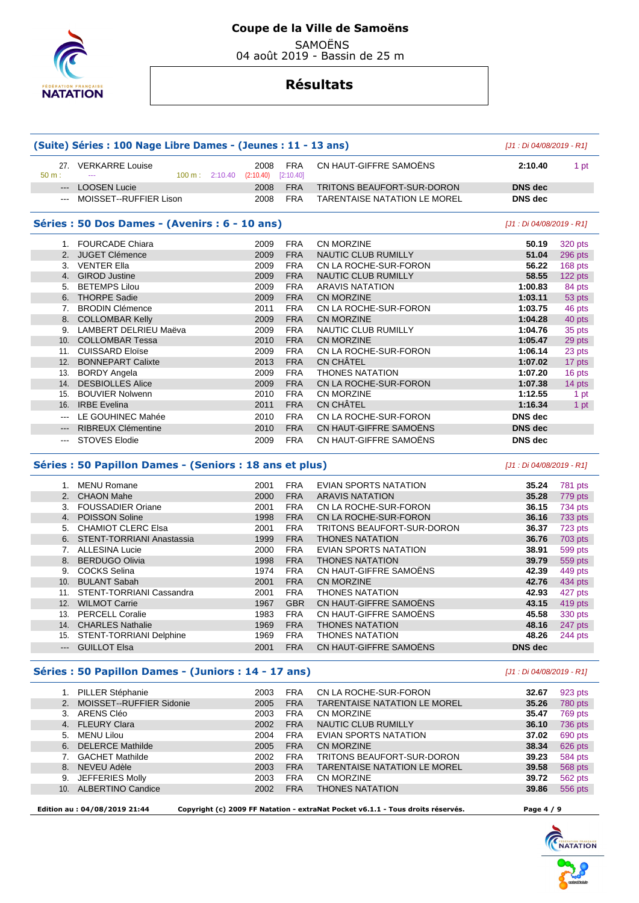

SAMOËNS

04 août 2019 - Bassin de 25 m

#### **Résultats**

#### **(Suite) Séries : 100 Nage Libre Dames - (Jeunes : 11 - 13 ans)** [J1 : Di 04/08/2019 - R1] 27. VERKARRE Louise 2008 FRA CN HAUT-GIFFRE SAMOËNS **2:10.40** 1 pt 100 m : 2:10.40 (2:10.40) [2:10.40] --- LOOSEN Lucie 2008 FRA TRITONS BEAUFORT-SUR-DORON **DNS dec**  --- MOISSET--RUFFIER Lison 2008 FRA TARENTAISE NATATION LE MOREL **DNS dec Séries : 50 Dos Dames - (Avenirs : 6 - 10 ans)** [J1 : Di 04/08/2019 - R1] 1. FOURCADE Chiara 2009 FRA CN MORZINE **50.19** 320 pts 2. JUGET Clémence 2009 FRA NAUTIC CLUB RUMILLY **51.04** 296 pts 3. VENTER Ella **56.22 2009 FRA** CN LA ROCHE-SUR-FORON 56.22 4. GIROD Justine 2009 FRA NAUTIC CLUB RUMILLY **58.55** 122 pts 5. BETEMPS Lilou 2009 FRA ARAVIS NATATION **1:00.83** 84 pts 6. THORPE Sadie 2009 FRA CN MORZINE **1:03.11** 53 pts 7. BRODIN Clémence 2011 FRA CN LA ROCHE-SUR-FORON **1:03.75** 46 pts 8. COLLOMBAR Kelly 2009 FRA CN MORZINE **1:04.28** 40 pts 9. LAMBERT DELRIEU Maëva 2009 FRA NAUTIC CLUB RUMILLY **1:04.76** 35 pts 10. COLLOMBAR Tessa 2010 FRA CN MORZINE **1:05.47** 29 pts 11. CUISSARD Eloïse 2009 FRA CN LA ROCHE-SUR-FORON **1:06.14** 23 pts 12. BONNEPART Calixte 2013 FRA CN CHÂTEL **1:07.02** 17 pts 13. BORDY Angela 2009 FRA THONES NATATION **1:07.20** 16 pts 14. DESBIOLLES Alice 2009 FRA CN LA ROCHE-SUR-FORON **1:07.38** 14 pts 15. BOUVIER Nolwenn 2010 FRA CN MORZINE **1:12.55** 1 pt 16. IRBE Evelina 2011 FRA CN CHÂTEL **1:16.34** 1 pt --- LE GOUHINEC Mahée 2010 FRA CN LA ROCHE-SUR-FORON **DNS dec**  --- RIBREUX Clémentine 2010 FRA CN HAUT-GIFFRE SAMOËNS **DNS dec**  --- STOVES Elodie 2009 FRA CN HAUT-GIFFRE SAMOËNS **DNS dec**

#### **Séries : 50 Papillon Dames - (Seniors : 18 ans et plus)** [J1 : Di 04/08/2019 - R1]

|       | MENU Romane                      | 2001 | <b>FRA</b> | EVIAN SPORTS NATATION             | 35.24          | <b>781 pts</b> |
|-------|----------------------------------|------|------------|-----------------------------------|----------------|----------------|
|       | 2. CHAON Mahe                    | 2000 | <b>FRA</b> | <b>ARAVIS NATATION</b>            | 35.28          | 779 pts        |
| 3.    | <b>FOUSSADIER Oriane</b>         | 2001 | <b>FRA</b> | CN LA ROCHE-SUR-FORON             | 36.15          | 734 pts        |
| 4.    | <b>POISSON Soline</b>            | 1998 | <b>FRA</b> | CN LA ROCHE-SUR-FORON             | 36.16          | 733 pts        |
| 5.    | <b>CHAMIOT CLERC Elsa</b>        | 2001 | <b>FRA</b> | <b>TRITONS BEAUFORT-SUR-DORON</b> | 36.37          | 723 pts        |
| 6.    | <b>STENT-TORRIANI Anastassia</b> | 1999 | <b>FRA</b> | <b>THONES NATATION</b>            | 36.76          | 703 pts        |
|       | <b>ALLESINA Lucie</b>            | 2000 | <b>FRA</b> | EVIAN SPORTS NATATION             | 38.91          | 599 pts        |
| 8.    | <b>BERDUGO Olivia</b>            | 1998 | <b>FRA</b> | <b>THONES NATATION</b>            | 39.79          | 559 pts        |
| 9.    | <b>COCKS Selina</b>              | 1974 | <b>FRA</b> | CN HAUT-GIFFRE SAMOËNS            | 42.39          | 449 pts        |
| 10.   | <b>BULANT Sabah</b>              | 2001 | <b>FRA</b> | CN MORZINE                        | 42.76          | 434 pts        |
| 11.   | <b>STENT-TORRIANI Cassandra</b>  | 2001 | <b>FRA</b> | <b>THONES NATATION</b>            | 42.93          | 427 pts        |
| 12.   | <b>WILMOT Carrie</b>             | 1967 | <b>GBR</b> | CN HAUT-GIFFRE SAMOËNS            | 43.15          | 419 pts        |
| 13.   | <b>PERCELL Coralie</b>           | 1983 | <b>FRA</b> | CN HAUT-GIFFRE SAMOËNS            | 45.58          | 330 pts        |
| 14.   | <b>CHARLES Nathalie</b>          | 1969 | <b>FRA</b> | <b>THONES NATATION</b>            | 48.16          | 247 pts        |
| 15.   | <b>STENT-TORRIANI Delphine</b>   | 1969 | <b>FRA</b> | <b>THONES NATATION</b>            | 48.26          | 244 pts        |
| $---$ | <b>GUILLOT Elsa</b>              | 2001 | <b>FRA</b> | CN HAUT-GIFFRE SAMOËNS            | <b>DNS</b> dec |                |
|       |                                  |      |            |                                   |                |                |

#### **Séries : 50 Papillon Dames - (Juniors : 14 - 17 ans)** [J1 : Di 04/08/2019 - R1]

|                 | <b>PILLER Stéphanie</b>  | 2003 | <b>FRA</b> | CN LA ROCHE-SUR-FORON               | 32.67 | 923 pts        |
|-----------------|--------------------------|------|------------|-------------------------------------|-------|----------------|
| 2.              | MOISSET--RUFFIER Sidonie | 2005 | <b>FRA</b> | <b>TARENTAISE NATATION LE MOREL</b> | 35.26 | <b>780 pts</b> |
| 3.              | ARENS Cléo               | 2003 | <b>FRA</b> | <b>CN MORZINE</b>                   | 35.47 | 769 pts        |
|                 | 4. FLEURY Clara          | 2002 | <b>FRA</b> | <b>NAUTIC CLUB RUMILLY</b>          | 36.10 | 736 pts        |
| $5 -$           | MENU Lilou               | 2004 | <b>FRA</b> | <b>EVIAN SPORTS NATATION</b>        | 37.02 | 690 pts        |
| 6.              | <b>DELERCE Mathilde</b>  | 2005 | <b>FRA</b> | <b>CN MORZINE</b>                   | 38.34 | 626 pts        |
|                 | <b>GACHET Mathilde</b>   | 2002 | <b>FRA</b> | TRITONS BEAUFORT-SUR-DORON          | 39.23 | 584 pts        |
| 8.              | NEVEU Adèle              | 2003 | <b>FRA</b> | <b>TARENTAISE NATATION LE MOREL</b> | 39.58 | 568 pts        |
| 9.              | JEFFERIES Molly          | 2003 | <b>FRA</b> | <b>CN MORZINE</b>                   | 39.72 | 562 pts        |
| 10 <sub>1</sub> | <b>ALBERTINO Candice</b> | 2002 | <b>FRA</b> | <b>THONES NATATION</b>              | 39.86 | 556 pts        |
|                 |                          |      |            |                                     |       |                |

 **Edition au : 04/08/2019 21:44 Copyright (c) 2009 FF Natation - extraNat Pocket v6.1.1 - Tous droits réservés. Page 4 / 9** 

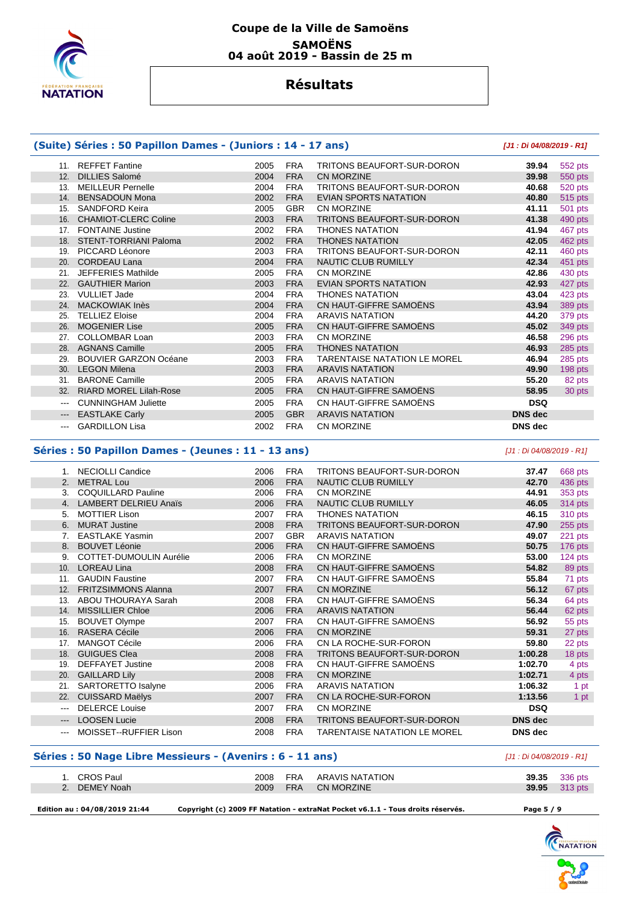

#### **Coupe de la Ville de Samoëns SAMOËNS 04 août 2019 - Bassin de 25 m**

## **Résultats**

#### **(Suite) Séries : 50 Papillon Dames - (Juniors : 14 - 17 ans) [J1 : Di 04/08/2019 - R1]**

|          | 11. REFFET Fantine            | 2005 | <b>FRA</b> | TRITONS BEAUFORT-SUR-DORON          | 39.94          | 552 pts   |
|----------|-------------------------------|------|------------|-------------------------------------|----------------|-----------|
| 12.      | <b>DILLIES Salomé</b>         | 2004 | <b>FRA</b> | <b>CN MORZINE</b>                   | 39.98          | 550 pts   |
| 13.      | <b>MEILLEUR Pernelle</b>      | 2004 | FRA        | TRITONS BEAUFORT-SUR-DORON          | 40.68          | 520 pts   |
| 14.      | <b>BENSADOUN Mona</b>         | 2002 | <b>FRA</b> | <b>EVIAN SPORTS NATATION</b>        | 40.80          | 515 pts   |
| 15.      | SANDFORD Keira                | 2005 | <b>GBR</b> | CN MORZINE                          | 41.11          | 501 pts   |
| 16.      | <b>CHAMIOT-CLERC Coline</b>   | 2003 | <b>FRA</b> | TRITONS BEAUFORT-SUR-DORON          | 41.38          | 490 pts   |
| 17.      | <b>FONTAINE Justine</b>       | 2002 | FRA        | <b>THONES NATATION</b>              | 41.94          | 467 pts   |
| 18.      | STENT-TORRIANI Paloma         | 2002 | <b>FRA</b> | <b>THONES NATATION</b>              | 42.05          | 462 pts   |
| 19.      | PICCARD Léonore               | 2003 | <b>FRA</b> | TRITONS BEAUFORT-SUR-DORON          | 42.11          | 460 pts   |
| 20.      | <b>CORDEAU Lana</b>           | 2004 | <b>FRA</b> | NAUTIC CLUB RUMILLY                 | 42.34          | 451 pts   |
| 21.      | <b>JEFFERIES Mathilde</b>     | 2005 | <b>FRA</b> | CN MORZINE                          | 42.86          | 430 pts   |
| 22.      | <b>GAUTHIER Marion</b>        | 2003 | <b>FRA</b> | <b>EVIAN SPORTS NATATION</b>        | 42.93          | 427 pts   |
| 23.      | <b>VULLIET Jade</b>           | 2004 | <b>FRA</b> | <b>THONES NATATION</b>              | 43.04          | 423 pts   |
| 24.      | <b>MACKOWIAK Inès</b>         | 2004 | <b>FRA</b> | CN HAUT-GIFFRE SAMOËNS              | 43.94          | 389 pts   |
| 25.      | <b>TELLIEZ Eloise</b>         | 2004 | <b>FRA</b> | <b>ARAVIS NATATION</b>              | 44.20          | 379 pts   |
| 26.      | <b>MOGENIER Lise</b>          | 2005 | <b>FRA</b> | CN HAUT-GIFFRE SAMOËNS              | 45.02          | 349 pts   |
| 27.      | <b>COLLOMBAR Loan</b>         | 2003 | FRA        | <b>CN MORZINE</b>                   | 46.58          | 296 pts   |
| 28.      | <b>AGNANS Camille</b>         | 2005 | <b>FRA</b> | <b>THONES NATATION</b>              | 46.93          | 285 pts   |
| 29.      | <b>BOUVIER GARZON Océane</b>  | 2003 | FRA        | <b>TARENTAISE NATATION LE MOREL</b> | 46.94          | 285 pts   |
| 30.      | <b>LEGON Milena</b>           | 2003 | <b>FRA</b> | <b>ARAVIS NATATION</b>              | 49.90          | $198$ pts |
| 31.      | <b>BARONE Camille</b>         | 2005 | FRA        | <b>ARAVIS NATATION</b>              | 55.20          | 82 pts    |
| 32.      | <b>RIARD MOREL Lilah-Rose</b> | 2005 | <b>FRA</b> | CN HAUT-GIFFRE SAMOËNS              | 58.95          | 30 pts    |
| $\cdots$ | <b>CUNNINGHAM Juliette</b>    | 2005 | FRA        | CN HAUT-GIFFRE SAMOËNS              | <b>DSQ</b>     |           |
| $---$    | <b>EASTLAKE Carly</b>         | 2005 | <b>GBR</b> | <b>ARAVIS NATATION</b>              | <b>DNS</b> dec |           |
| $\cdots$ | <b>GARDILLON Lisa</b>         | 2002 | <b>FRA</b> | <b>CN MORZINE</b>                   | <b>DNS</b> dec |           |

#### **Séries : 50 Papillon Dames - (Jeunes : 11 - 13 ans)** [J1 : Di 04/08/2019 - R1]

|          | 1. NECIOLLI Candice        | 2006 | <b>FRA</b> | TRITONS BEAUFORT-SUR-DORON          | 37.47          | 668 pts   |
|----------|----------------------------|------|------------|-------------------------------------|----------------|-----------|
|          | 2. METRAL Lou              | 2006 | <b>FRA</b> | NAUTIC CLUB RUMILLY                 | 42.70          | 436 pts   |
|          | 3. COQUILLARD Pauline      | 2006 | FRA        | CN MORZINE                          | 44.91          | 353 pts   |
|          | 4. LAMBERT DELRIEU Anaïs   | 2006 | <b>FRA</b> | NAUTIC CLUB RUMILLY                 | 46.05          | 314 pts   |
| 5.       | <b>MOTTIER Lison</b>       | 2007 | <b>FRA</b> | THONES NATATION                     | 46.15          | 310 pts   |
| 6.       | <b>MURAT Justine</b>       | 2008 | <b>FRA</b> | TRITONS BEAUFORT-SUR-DORON          | 47.90          | $255$ pts |
|          | 7. EASTLAKE Yasmin         | 2007 | <b>GBR</b> | <b>ARAVIS NATATION</b>              | 49.07          | 221 pts   |
|          | 8. BOUVET Léonie           | 2006 | <b>FRA</b> | CN HAUT-GIFFRE SAMOËNS              | 50.75          | 176 pts   |
| 9.       | COTTET-DUMOULIN Aurélie    | 2006 | FRA        | <b>CN MORZINE</b>                   | 53.00          | 124 pts   |
| 10.      | <b>LOREAU Lina</b>         | 2008 | <b>FRA</b> | CN HAUT-GIFFRE SAMOËNS              | 54.82          | 89 pts    |
| 11.      | <b>GAUDIN Faustine</b>     | 2007 | <b>FRA</b> | CN HAUT-GIFFRE SAMOËNS              | 55.84          | 71 pts    |
| 12.      | <b>FRITZSIMMONS Alanna</b> | 2007 | <b>FRA</b> | CN MORZINE                          | 56.12          | 67 pts    |
| 13.      | ABOU THOURAYA Sarah        | 2008 | <b>FRA</b> | CN HAUT-GIFFRE SAMOËNS              | 56.34          | 64 pts    |
| 14.      | <b>MISSILLIER Chloe</b>    | 2006 | <b>FRA</b> | <b>ARAVIS NATATION</b>              | 56.44          | 62 pts    |
| 15.      | <b>BOUVET Olympe</b>       | 2007 | <b>FRA</b> | CN HAUT-GIFFRE SAMOËNS              | 56.92          | 55 pts    |
| 16.      | <b>RASERA Cécile</b>       | 2006 | <b>FRA</b> | CN MORZINE                          | 59.31          | 27 pts    |
| 17.      | <b>MANGOT Cécile</b>       | 2006 | <b>FRA</b> | CN LA ROCHE-SUR-FORON               | 59.80          | 22 pts    |
| 18.      | <b>GUIGUES Clea</b>        | 2008 | <b>FRA</b> | TRITONS BEAUFORT-SUR-DORON          | 1:00.28        | 18 pts    |
| 19.      | <b>DEFFAYET Justine</b>    | 2008 | FRA        | CN HAUT-GIFFRE SAMOËNS              | 1:02.70        | 4 pts     |
| 20.      | <b>GAILLARD Lily</b>       | 2008 | <b>FRA</b> | CN MORZINE                          | 1:02.71        | 4 pts     |
| 21.      | SARTORETTO Isalyne         | 2006 | FRA        | <b>ARAVIS NATATION</b>              | 1:06.32        | 1 pt      |
|          | 22. CUISSARD Maëlys        | 2007 | <b>FRA</b> | CN LA ROCHE-SUR-FORON               | 1:13.56        | 1 pt      |
| $\cdots$ | <b>DELERCE Louise</b>      | 2007 | <b>FRA</b> | CN MORZINE                          | <b>DSQ</b>     |           |
| $---$    | <b>LOOSEN Lucie</b>        | 2008 | <b>FRA</b> | TRITONS BEAUFORT-SUR-DORON          | <b>DNS</b> dec |           |
| $\cdots$ | MOISSET--RUFFIER Lison     | 2008 | FRA        | <b>TARENTAISE NATATION LE MOREL</b> | <b>DNS</b> dec |           |

#### **Séries : 50 Nage Libre Messieurs - (Avenirs : 6 - 11 ans)** [J1 : Di 04/08/2019 - R1]

| 1. CROS Paul                  | 2008 | FRA        | ARAVIS NATATION                                                                 |            | <b>39.35</b> 336 pts |
|-------------------------------|------|------------|---------------------------------------------------------------------------------|------------|----------------------|
| 2. DEMEY Noah                 | 2009 | <b>FRA</b> | <b>CN MORZINE</b>                                                               |            | <b>39.95</b> 313 pts |
| Edition au : 04/08/2019 21:44 |      |            | Copyright (c) 2009 FF Natation - extraNat Pocket v6.1.1 - Tous droits réservés. | Page 5 / 9 |                      |

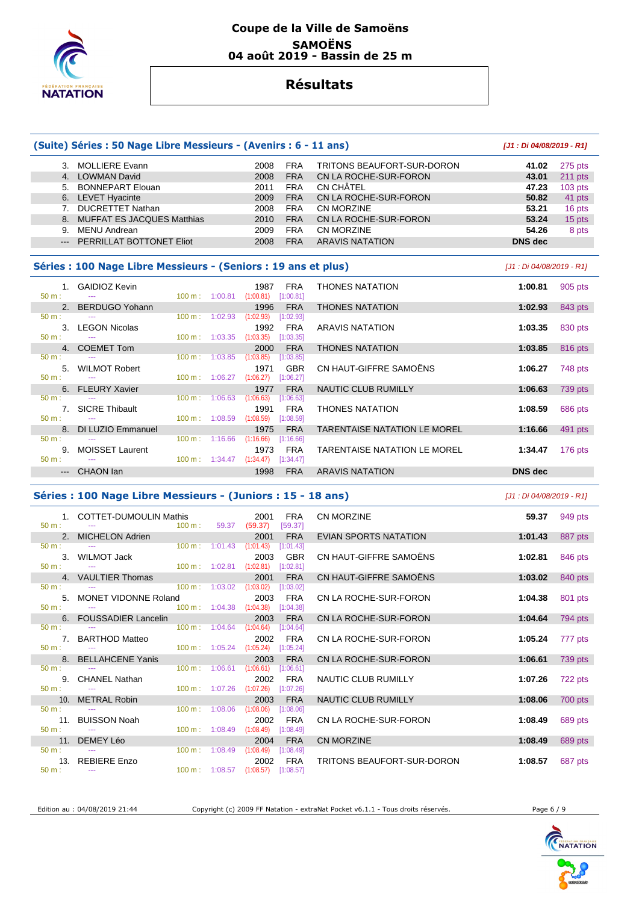

#### **Coupe de la Ville de Samoëns SAMOËNS 04 août 2019 - Bassin de 25 m**

## **Résultats**

|                | (Suite) Séries : 50 Nage Libre Messieurs - (Avenirs : 6 - 11 ans) |                                      |         |                   |                         |                              | [J1: Di 04/08/2019 - R1]  |           |
|----------------|-------------------------------------------------------------------|--------------------------------------|---------|-------------------|-------------------------|------------------------------|---------------------------|-----------|
|                | 3. MOLLIERE Evann                                                 |                                      |         | 2008              | <b>FRA</b>              | TRITONS BEAUFORT-SUR-DORON   | 41.02                     | 275 pts   |
|                | 4. LOWMAN David                                                   |                                      |         | 2008              | <b>FRA</b>              | CN LA ROCHE-SUR-FORON        | 43.01                     | $211$ pts |
|                | 5. BONNEPART Elouan                                               |                                      |         | 2011              | <b>FRA</b>              | CN CHÂTEL                    | 47.23                     | $103$ pts |
|                | 6. LEVET Hyacinte                                                 |                                      |         | 2009              | <b>FRA</b>              | CN LA ROCHE-SUR-FORON        | 50.82                     | 41 pts    |
|                | 7. DUCRETTET Nathan                                               |                                      |         | 2008              | <b>FRA</b>              | CN MORZINE                   | 53.21                     | 16 pts    |
| 8.             | <b>MUFFAT ES JACQUES Matthias</b>                                 |                                      |         | 2010              | <b>FRA</b>              | CN LA ROCHE-SUR-FORON        | 53.24                     | 15 pts    |
|                | 9. MENU Andrean                                                   |                                      |         | 2009              | <b>FRA</b>              | CN MORZINE                   | 54.26                     | 8 pts     |
|                | PERRILLAT BOTTONET Eliot                                          |                                      |         | 2008              | <b>FRA</b>              | <b>ARAVIS NATATION</b>       | <b>DNS</b> dec            |           |
|                |                                                                   |                                      |         |                   |                         |                              |                           |           |
|                | Séries : 100 Nage Libre Messieurs - (Seniors : 19 ans et plus)    |                                      |         |                   |                         |                              | [J1 : Di 04/08/2019 - R1] |           |
| 1.             | <b>GAIDIOZ Kevin</b>                                              |                                      |         | 1987              | <b>FRA</b>              | <b>THONES NATATION</b>       | 1:00.81                   | 905 pts   |
| 50 m:          |                                                                   | 100 m:                               | 1:00.81 | (1:00.81)         | [1:00.81]               |                              |                           |           |
| 2.             | <b>BERDUGO Yohann</b>                                             |                                      |         | 1996              | <b>FRA</b>              | <b>THONES NATATION</b>       | 1:02.93                   | 843 pts   |
| 50 m:          |                                                                   | 100 m:                               | 1:02.93 | (1:02.93)         | [1:02.93]               |                              |                           |           |
|                | 3. LEGON Nicolas                                                  |                                      |         | 1992              | <b>FRA</b>              | <b>ARAVIS NATATION</b>       | 1:03.35                   | 830 pts   |
| $50 m$ :       |                                                                   | 100 m:                               | 1:03.35 | (1:03.35)         | [1:03.35]               |                              |                           |           |
| 4.             | <b>COEMET Tom</b>                                                 |                                      |         | 2000              | <b>FRA</b>              | <b>THONES NATATION</b>       | 1:03.85                   | 816 pts   |
| 50 m:          |                                                                   | 100 m:                               | 1:03.85 | (1:03.85)         | [1:03.85]               |                              |                           |           |
| 5.             | <b>WILMOT Robert</b>                                              |                                      |         | 1971              | GBR                     | CN HAUT-GIFFRE SAMOENS       | 1:06.27                   | 748 pts   |
| 50 m:          |                                                                   | 100 m:                               | 1:06.27 | (1:06.27)         | [1:06.27]               |                              |                           |           |
| 6.             | <b>FLEURY Xavier</b>                                              |                                      |         | 1977              | <b>FRA</b>              | NAUTIC CLUB RUMILLY          | 1:06.63                   | 739 pts   |
| 50 m:          |                                                                   | 100 m:                               | 1:06.63 | (1:06.63)         | [1:06.63]               |                              |                           |           |
| 7.             | <b>SICRE Thibault</b>                                             |                                      |         | 1991              | <b>FRA</b>              | <b>THONES NATATION</b>       | 1:08.59                   | 686 pts   |
| 50 m:          |                                                                   | 100 m:                               | 1:08.59 | (1:08.59)         | [1:08.59]               |                              |                           |           |
| 8.<br>50 m:    | DI LUZIO Emmanuel                                                 | 100 m:                               | 1:16.66 | 1975<br>(1:16.66) | <b>FRA</b>              | TARENTAISE NATATION LE MOREL | 1:16.66                   | 491 pts   |
|                |                                                                   |                                      |         |                   | [1:16.66]               |                              |                           |           |
| 9.<br>50 m:    | MOISSET Laurent                                                   | 100 m: 1:34.47                       |         | 1973<br>(1:34.47) | <b>FRA</b><br>[1:34.47] | TARENTAISE NATATION LE MOREL | 1:34.47                   | $176$ pts |
|                | --- CHAON lan                                                     |                                      |         | 1998              | <b>FRA</b>              | <b>ARAVIS NATATION</b>       | <b>DNS</b> dec            |           |
|                |                                                                   |                                      |         |                   |                         |                              |                           |           |
|                | Séries : 100 Nage Libre Messieurs - (Juniors : 15 - 18 ans)       |                                      |         |                   |                         |                              | [J1 : Di 04/08/2019 - R1] |           |
| 1.             | <b>COTTET-DUMOULIN Mathis</b>                                     |                                      |         | 2001              | <b>FRA</b>              | CN MORZINE                   | 59.37                     | 949 pts   |
| 50 m:          |                                                                   | 100 m:                               | 59.37   | (59.37)           | [59.37]                 |                              |                           |           |
| 2.             | <b>MICHELON Adrien</b>                                            |                                      |         | 2001              | <b>FRA</b>              | EVIAN SPORTS NATATION        | 1:01.43                   | 887 pts   |
| 50 m:          |                                                                   | 100 m:                               | 1:01.43 | (1:01.43)         | [1:01.43]               |                              |                           |           |
| 3.             | <b>WILMOT Jack</b>                                                |                                      |         | 2003              | <b>GBR</b>              | CN HAUT-GIFFRE SAMOËNS       | 1:02.81                   | 846 pts   |
| 50 m:          | $\sim$                                                            | 100 m:                               | 1:02.81 | (1:02.81)         | [1:02.81]               |                              |                           |           |
| 4.             | <b>VAULTIER Thomas</b>                                            |                                      |         | 2001              | <b>FRA</b>              | CN HAUT-GIFFRE SAMOËNS       | 1:03.02                   | 840 pts   |
| 50 m:          |                                                                   | 100 m:                               | 1:03.02 | (1:03.02)         | [1:03.02]               |                              |                           |           |
| 5.             | MONET VIDONNE Roland                                              |                                      |         | 2003              | <b>FRA</b>              | CN LA ROCHE-SUR-FORON        | 1:04.38                   | 801 pts   |
| 50 m:          |                                                                   | $100 \text{ m}: 1:04.38$             |         | (1:04.38)         | [1:04.38]               |                              |                           |           |
| 6.             | <b>FOUSSADIER Lancelin</b>                                        |                                      |         | 2003              | <b>FRA</b>              | CN LA ROCHE-SUR-FORON        | 1:04.64                   | 794 pts   |
| 50 m:          |                                                                   | 100 m:                               | 1:04.64 | (1:04.64)         | [1:04.64]               |                              |                           |           |
| 7.             | <b>BARTHOD Matteo</b>                                             |                                      |         | 2002              | <b>FRA</b>              | CN LA ROCHE-SUR-FORON        | 1:05.24                   | 777 pts   |
| $50 m$ :       |                                                                   | 100 m:                               | 1:05.24 | (1:05.24)         | [1:05.24]               |                              |                           |           |
| 8.<br>$50 m$ : | <b>BELLAHCENE Yanis</b>                                           |                                      |         | 2003              | <b>FRA</b>              | CN LA ROCHE-SUR-FORON        | 1:06.61                   | 739 pts   |
|                |                                                                   | 100 m:                               | 1:06.61 | (1:06.61)         | [1:06.61]               |                              |                           |           |
| 50 m:          | 9. CHANEL Nathan                                                  | $100 \text{ m}: 1:07.26$ $(1:07.26)$ |         | 2002              | <b>FRA</b><br>[1:07.26] | NAUTIC CLUB RUMILLY          | 1:07.26                   | 722 pts   |



Edition au : 04/08/2019 21:44 Copyright (c) 2009 FF Natation - extraNat Pocket v6.1.1 - Tous droits réservés. Page 6 / 9

10. METRAL Robin 2003 FRA NAUTIC CLUB RUMILLY **1:08.06** 700 pts

11. BUISSON Noah 2002 FRA CN LA ROCHE-SUR-FORON **1:08.49** 689 pts

11. DEMEY Léo 2004 FRA CN MORZINE **1:08.49** 689 pts

13. REBIERE Enzo 2002 FRA TRITONS BEAUFORT-SUR-DORON 1:08.57 687 pts<br>
50 m : --- 100 m : 1:08.57 (1:08.57) [1:08.57] [1:08.57]

 $(1:08.06)$ 

 $(1:08.49)$   $[1:08.49]$ 

100 m : 1:08.49 (1:08.49) [1:08.49]

100 m : 1:08.57 (1:08.57) [1:08.57]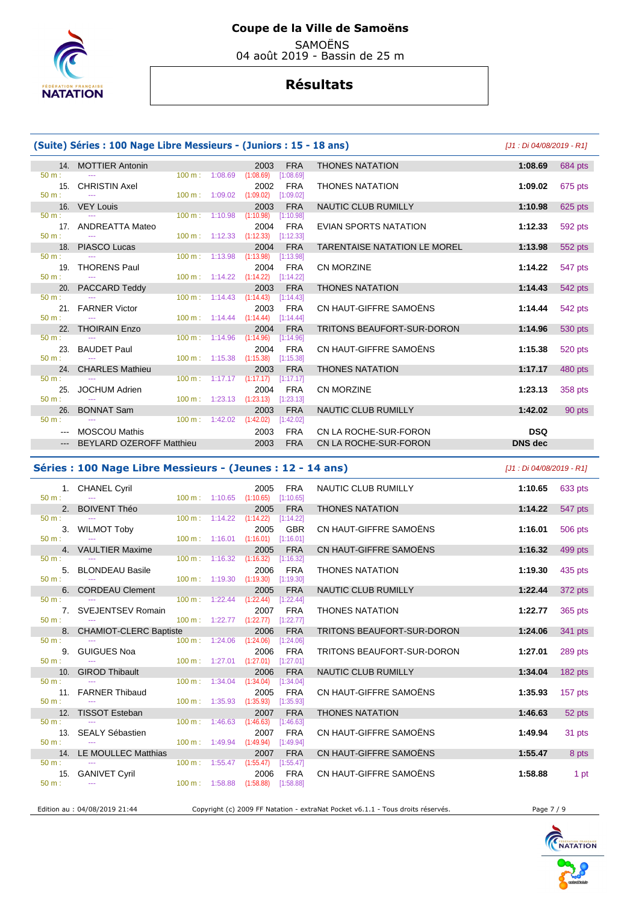

 SAMOËNS 04 août 2019 - Bassin de 25 m

## **Résultats**

| (Suite) Séries : 100 Nage Libre Messieurs - (Juniors : 15 - 18 ans) |                                      | [J1 : Di 04/08/2019 - R1] |                                      |                                            |                         |                                     |                |         |
|---------------------------------------------------------------------|--------------------------------------|---------------------------|--------------------------------------|--------------------------------------------|-------------------------|-------------------------------------|----------------|---------|
|                                                                     | 14. MOTTIER Antonin                  |                           |                                      | 2003                                       | <b>FRA</b>              | <b>THONES NATATION</b>              | 1:08.69        | 684 pts |
| $50 m$ :                                                            |                                      |                           | 100 m: 1:08.69                       | (1:08.69)                                  | [1:08.69]               |                                     |                |         |
| 15.<br>$50 m$ :                                                     | <b>CHRISTIN Axel</b>                 | 100 m: 1:09.02            |                                      | 2002<br>(1:09.02)                          | <b>FRA</b><br>[1:09.02] | <b>THONES NATATION</b>              | 1:09.02        | 675 pts |
|                                                                     | 16. VEY Louis                        |                           |                                      | 2003                                       | <b>FRA</b>              | <b>NAUTIC CLUB RUMILLY</b>          | 1:10.98        | 625 pts |
| $50 m$ :                                                            |                                      | 100 m: 1:10.98            |                                      | (1:10.98)                                  | [1:10.98]               |                                     |                |         |
| $50 m$ :                                                            | 17. ANDREATTA Mateo<br>$\sim$ $\sim$ |                           |                                      | 2004<br>100 m: 1:12.33 (1:12.33) [1:12.33] | <b>FRA</b>              | <b>EVIAN SPORTS NATATION</b>        | 1:12.33        | 592 pts |
|                                                                     | 18. PIASCO Lucas                     |                           |                                      | 2004                                       | <b>FRA</b>              | <b>TARENTAISE NATATION LE MOREL</b> | 1:13.98        | 552 pts |
| $50 m$ :                                                            |                                      | 100 m: 1:13.98            |                                      | (1:13.98)                                  | [1:13.98]               |                                     |                |         |
| 19.                                                                 | <b>THORENS Paul</b>                  |                           |                                      | 2004                                       | <b>FRA</b>              | <b>CN MORZINE</b>                   | 1:14.22        | 547 pts |
| $50 m$ :                                                            |                                      |                           | $100 \text{ m}: 1:14.22$ $(1:14.22)$ |                                            | [1:14.22]               |                                     |                |         |
|                                                                     | 20. PACCARD Teddy                    |                           |                                      | 2003                                       | <b>FRA</b>              | <b>THONES NATATION</b>              | 1:14.43        | 542 pts |
| $50 m$ :                                                            | $\cdots$                             |                           |                                      | $100 \text{ m}: 1:14.43$ $(1:14.43)$       | [1:14.43]               |                                     |                |         |
|                                                                     | 21. FARNER Victor                    |                           |                                      | 2003                                       | <b>FRA</b>              | CN HAUT-GIFFRE SAMOËNS              | 1:14.44        | 542 pts |
| $50 m$ :                                                            | 22. THOIRAIN Enzo                    |                           | $100 \text{ m}: 1:14.44$ $(1:14.44)$ |                                            | [1:14.44]<br><b>FRA</b> | <b>TRITONS BEAUFORT-SUR-DORON</b>   |                |         |
| $50 m$ :                                                            |                                      | $100 \text{ m}: 1:14.96$  |                                      | 2004<br>(1:14.96)                          | [1:14.96]               |                                     | 1:14.96        | 530 pts |
|                                                                     | 23. BAUDET Paul                      |                           |                                      | 2004                                       | <b>FRA</b>              | CN HAUT-GIFFRE SAMOËNS              | 1:15.38        | 520 pts |
| $50 m$ :                                                            | $\sim$ $\sim$                        | 100 m: 1:15.38            |                                      | (1:15.38)                                  | [1:15.38]               |                                     |                |         |
|                                                                     | 24. CHARLES Mathieu                  |                           |                                      | 2003                                       | <b>FRA</b>              | <b>THONES NATATION</b>              | 1:17.17        | 480 pts |
| $50 m$ :                                                            |                                      |                           | $100 \text{ m}: 1:17.17$             | (1:17.17)                                  | [1:17.17]               |                                     |                |         |
| 25.                                                                 | <b>JOCHUM Adrien</b>                 |                           |                                      | 2004                                       | <b>FRA</b>              | <b>CN MORZINE</b>                   | 1:23.13        | 358 pts |
| $50 m$ :                                                            | $\sim$ $\sim$                        |                           | $100 \text{ m}$ : 1:23.13            | (1:23.13)                                  | [1:23.13]               |                                     |                |         |
| 26.                                                                 | <b>BONNAT Sam</b>                    |                           |                                      | 2003                                       | <b>FRA</b>              | <b>NAUTIC CLUB RUMILLY</b>          | 1:42.02        | 90 pts  |
| $50 m$ :                                                            |                                      | $100 m$ : 1:42.02         |                                      | (1:42.02)                                  | [1:42.02]               |                                     |                |         |
| $  -$                                                               | <b>MOSCOU Mathis</b>                 |                           |                                      | 2003                                       | <b>FRA</b>              | CN LA ROCHE-SUR-FORON               | <b>DSQ</b>     |         |
| $---$                                                               | <b>BEYLARD OZEROFF Matthieu</b>      |                           |                                      | 2003                                       | <b>FRA</b>              | CN LA ROCHE-SUR-FORON               | <b>DNS</b> dec |         |
|                                                                     |                                      |                           |                                      |                                            |                         |                                     |                |         |

#### **Séries : 100 Nage Libre Messieurs - (Jeunes : 12 - 14 ans)** [J1 : Di 04/08/2019 - R1]

| $50 m$ :         | 1. CHANEL Cyril                      |                           | $100 \text{ m}: 1:10.65$ $(1:10.65)$ | 2005                               | <b>FRA</b><br>[1:10.65] | NAUTIC CLUB RUMILLY               | 1:10.65 | 633 pts |
|------------------|--------------------------------------|---------------------------|--------------------------------------|------------------------------------|-------------------------|-----------------------------------|---------|---------|
|                  | 2. BOIVENT Théo                      |                           |                                      | 2005                               | <b>FRA</b>              | <b>THONES NATATION</b>            | 1:14.22 | 547 pts |
| $50 m$ :         |                                      |                           | $100 \text{ m}: 1:14.22$ $(1:14.22)$ |                                    | [1:14.22]               |                                   |         |         |
|                  | 3. WILMOT Toby                       |                           |                                      | 2005                               | <b>GBR</b>              | CN HAUT-GIFFRE SAMOËNS            | 1:16.01 | 506 pts |
| $50 m$ :         | $\sim$                               | $100 \text{ m}$ : 1:16.01 |                                      | (1:16.01)                          | [1:16.01]               |                                   |         |         |
|                  | 4. VAULTIER Maxime                   |                           |                                      | 2005                               | <b>FRA</b>              | CN HAUT-GIFFRE SAMOËNS            | 1:16.32 | 499 pts |
| $50 m$ :         |                                      |                           | $100 \text{ m}: 1:16.32$ $(1:16.32)$ |                                    | [1:16.32]               |                                   |         |         |
| $50 m$ :         | 5. BLONDEAU Basile<br><b>Service</b> | $100 \text{ m}: 1:19.30$  |                                      | 2006<br>(1:19.30)                  | FRA<br>[1:19.30]        | <b>THONES NATATION</b>            | 1:19.30 | 435 pts |
|                  | 6. CORDEAU Clement                   |                           |                                      | 2005                               | <b>FRA</b>              | <b>NAUTIC CLUB RUMILLY</b>        | 1:22.44 | 372 pts |
| $50 m$ :         |                                      |                           | $100 \text{ m}: 1:22.44$ $(1:22.44)$ |                                    | [1:22.44]               |                                   |         |         |
|                  | 7. SVEJENTSEV Romain                 |                           |                                      | 2007                               | <b>FRA</b>              | <b>THONES NATATION</b>            | 1:22.77 | 365 pts |
| $50 \text{ m}$ : | <b>State State</b>                   |                           |                                      | 100 m: 1:22.77 (1:22.77) [1:22.77] |                         |                                   |         |         |
|                  | 8. CHAMIOT-CLERC Baptiste            |                           |                                      | 2006                               | <b>FRA</b>              | <b>TRITONS BEAUFORT-SUR-DORON</b> | 1:24.06 | 341 pts |
| $50 \text{ m}$ : |                                      |                           | 100 m: 1:24.06                       | (1:24.06)                          | [1:24.06]               |                                   |         |         |
|                  | 9. GUIGUES Noa                       |                           |                                      | 2006                               | FRA                     | TRITONS BEAUFORT-SUR-DORON        | 1:27.01 | 289 pts |
| $50 m$ :         |                                      |                           | $100 \text{ m}: 1:27.01$ $(1:27.01)$ |                                    | [1:27.01]               |                                   |         |         |
|                  | 10. GIROD Thibault                   |                           |                                      | 2006                               | <b>FRA</b>              | <b>NAUTIC CLUB RUMILLY</b>        | 1:34.04 | 182 pts |
| $50 \text{ m}$ : |                                      |                           | $100 \text{ m}$ : 1:34.04            | (1:34.04)                          | [1:34.04]               |                                   |         |         |
|                  | 11. FARNER Thibaud                   |                           |                                      | 2005                               | <b>FRA</b>              | CN HAUT-GIFFRE SAMOËNS            | 1:35.93 | 157 pts |
| $50 m$ :         | 12. TISSOT Esteban                   |                           | $100 \text{ m}: 1:35.93$ $(1:35.93)$ | 2007                               | [1:35.93]<br><b>FRA</b> | <b>THONES NATATION</b>            | 1:46.63 |         |
| $50 m$ :         |                                      |                           | $100 \text{ m}: 1:46.63$ $(1:46.63)$ |                                    | [1:46.63]               |                                   |         | 52 pts  |
|                  | 13. SEALY Sébastien                  |                           |                                      | 2007                               | <b>FRA</b>              | CN HAUT-GIFFRE SAMOËNS            | 1:49.94 | 31 pts  |
| $50 \text{ m}$ : |                                      |                           | 100 m: 1:49.94 (1:49.94)             |                                    | [1:49.94]               |                                   |         |         |
|                  | 14. LE MOULLEC Matthias              |                           |                                      | 2007                               | <b>FRA</b>              | CN HAUT-GIFFRE SAMOËNS            | 1:55.47 | 8 pts   |
| $50 \text{ m}$ : |                                      |                           | $100 \text{ m}: 1:55.47$ $(1:55.47)$ |                                    | [1:55.47]               |                                   |         |         |
|                  | 15. GANIVET Cyril                    |                           |                                      | 2006                               | <b>FRA</b>              | CN HAUT-GIFFRE SAMOËNS            | 1:58.88 | 1 pt    |
| $50 m$ :         | $\sim$                               | $100 \text{ m}$ : 1:58.88 |                                      | (1:58.88)                          | [1:58.88]               |                                   |         |         |
|                  |                                      |                           |                                      |                                    |                         |                                   |         |         |

Edition au : 04/08/2019 21:44 Copyright (c) 2009 FF Natation - extraNat Pocket v6.1.1 - Tous droits réservés. Page 7 / 9

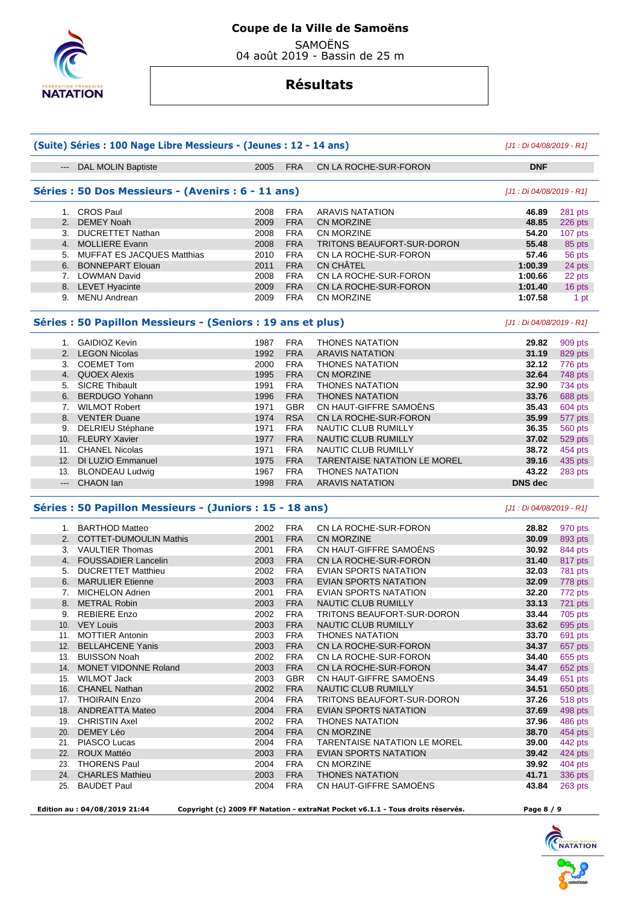

SAMOËNS

04 août 2019 - Bassin de 25 m

## **Résultats**

| (Suite) Séries : 100 Nage Libre Messieurs - (Jeunes : 12 - 14 ans) | [J1 : Di 04/08/2019 - R1]                                   |                           |                          |                                     |                           |                |  |
|--------------------------------------------------------------------|-------------------------------------------------------------|---------------------------|--------------------------|-------------------------------------|---------------------------|----------------|--|
| $\begin{array}{ccc} - & - & - \\ - & - & - \end{array}$            | <b>DAL MOLIN Baptiste</b>                                   | 2005                      | <b>FRA</b>               | CN LA ROCHE-SUR-FORON               | <b>DNF</b>                |                |  |
|                                                                    | Séries : 50 Dos Messieurs - (Avenirs : 6 - 11 ans)          | [J1 : Di 04/08/2019 - R1] |                          |                                     |                           |                |  |
|                                                                    | 1. CROS Paul                                                | 2008                      | <b>FRA</b>               | <b>ARAVIS NATATION</b>              | 46.89                     | 281 pts        |  |
|                                                                    | 2. DEMEY Noah                                               | 2009                      | <b>FRA</b>               | <b>CN MORZINE</b>                   | 48.85                     | 226 pts        |  |
|                                                                    | 3. DUCRETTET Nathan                                         | 2008                      | <b>FRA</b>               | CN MORZINE                          | 54.20                     | 107 pts        |  |
|                                                                    | 4. MOLLIERE Evann                                           | 2008                      | <b>FRA</b>               | TRITONS BEAUFORT-SUR-DORON          | 55.48                     | 85 pts         |  |
| 5.                                                                 | <b>MUFFAT ES JACQUES Matthias</b>                           | 2010                      | <b>FRA</b>               | CN LA ROCHE-SUR-FORON               | 57.46                     | 56 pts         |  |
|                                                                    | 6. BONNEPART Elouan                                         | 2011                      | <b>FRA</b>               | <b>CN CHÂTEL</b>                    | 1:00.39                   | 24 pts         |  |
|                                                                    | 7. LOWMAN David                                             | 2008                      | <b>FRA</b>               | CN LA ROCHE-SUR-FORON               | 1:00.66                   | 22 pts         |  |
|                                                                    | 8. LEVET Hyacinte                                           | 2009                      | <b>FRA</b>               | CN LA ROCHE-SUR-FORON               | 1:01.40                   | 16 pts         |  |
|                                                                    | 9. MENU Andrean                                             | 2009                      | <b>FRA</b>               | CN MORZINE                          | 1:07.58                   | 1 pt           |  |
|                                                                    |                                                             |                           |                          |                                     |                           |                |  |
|                                                                    | Séries : 50 Papillon Messieurs - (Seniors : 19 ans et plus) |                           |                          |                                     | [J1 : Di 04/08/2019 - R1] |                |  |
|                                                                    | 1. GAIDIOZ Kevin                                            | 1987                      | <b>FRA</b>               | <b>THONES NATATION</b>              | 29.82                     | 909 pts        |  |
|                                                                    | 2. LEGON Nicolas                                            | 1992                      | <b>FRA</b>               | <b>ARAVIS NATATION</b>              | 31.19                     | 829 pts        |  |
|                                                                    | 3. COEMET Tom                                               | 2000                      | <b>FRA</b>               | <b>THONES NATATION</b>              | 32.12                     | 776 pts        |  |
|                                                                    | 4. QUOEX Alexis                                             | 1995                      | <b>FRA</b>               | <b>CN MORZINE</b>                   | 32.64                     | 748 pts        |  |
| 5.                                                                 | <b>SICRE Thibault</b>                                       | 1991                      | <b>FRA</b>               | <b>THONES NATATION</b>              | 32.90                     | 734 pts        |  |
| 6.                                                                 | <b>BERDUGO Yohann</b>                                       | 1996                      | <b>FRA</b>               | <b>THONES NATATION</b>              | 33.76                     | 688 pts        |  |
|                                                                    | 7. WILMOT Robert                                            | 1971                      | <b>GBR</b>               | CN HAUT-GIFFRE SAMOËNS              | 35.43                     | 604 pts        |  |
|                                                                    | 8. VENTER Duane                                             | 1974                      | <b>RSA</b>               | CN LA ROCHE-SUR-FORON               | 35.99                     | 577 pts        |  |
| 9.                                                                 | DELRIEU Stéphane                                            | 1971                      | <b>FRA</b>               | NAUTIC CLUB RUMILLY                 | 36.35                     | <b>560 pts</b> |  |
|                                                                    | 10. FLEURY Xavier                                           | 1977                      | <b>FRA</b>               | NAUTIC CLUB RUMILLY                 | 37.02                     | 529 pts        |  |
|                                                                    | 11. CHANEL Nicolas                                          | 1971                      | <b>FRA</b>               | NAUTIC CLUB RUMILLY                 | 38.72                     | 454 pts        |  |
| 12.                                                                | DI LUZIO Emmanuel                                           | 1975                      | <b>FRA</b>               | <b>TARENTAISE NATATION LE MOREL</b> | 39.16                     | 435 pts        |  |
|                                                                    | 13. BLONDEAU Ludwig                                         | 1967                      | <b>FRA</b>               | <b>THONES NATATION</b>              | 43.22                     | 283 pts        |  |
|                                                                    | --- CHAON lan                                               | 1998                      | <b>FRA</b>               | <b>ARAVIS NATATION</b>              | <b>DNS</b> dec            |                |  |
|                                                                    | Séries : 50 Papillon Messieurs - (Juniors : 15 - 18 ans)    |                           |                          |                                     |                           |                |  |
|                                                                    | 1. BARTHOD Matteo                                           | 2002                      | <b>FRA</b>               | CN LA ROCHE-SUR-FORON               | 28.82                     | 970 pts        |  |
|                                                                    | 2. COTTET-DUMOULIN Mathis                                   | 2001                      | <b>FRA</b>               | <b>CN MORZINE</b>                   | 30.09                     | 893 pts        |  |
|                                                                    | 3. VAULTIER Thomas                                          | 2001                      | <b>FRA</b>               | CN HAUT-GIFFRE SAMOËNS              | 30.92                     |                |  |
|                                                                    | 4. FOUSSADIER Lancelin                                      | 2003                      | <b>FRA</b>               | CN LA ROCHE-SUR-FORON               | 31.40                     | 844 pts        |  |
| 5.                                                                 | <b>DUCRETTET Matthieu</b>                                   | 2002                      | <b>FRA</b>               | EVIAN SPORTS NATATION               | 32.03                     | 817 pts        |  |
|                                                                    |                                                             |                           | <b>FRA</b>               |                                     |                           | 781 pts        |  |
|                                                                    | 6. MARULIER Etienne                                         | 2003                      |                          | EVIAN SPORTS NATATION               | 32.09                     | 778 pts        |  |
|                                                                    | 7. MICHELON Adrien                                          | 2001                      | <b>FRA</b><br><b>FRA</b> | EVIAN SPORTS NATATION               | 32.20                     | 772 pts        |  |
|                                                                    | 8. METRAL Robin                                             | 2003                      |                          | <b>NAUTIC CLUB RUMILLY</b>          | 33.13                     | 721 pts        |  |
| 9.                                                                 | REBIERE Enzo                                                | 2002                      | FRA                      | TRITONS BEAUFORT-SUR-DORON          | 33.44                     | $705$ pts      |  |
|                                                                    | 10. VEY Louis                                               | 2003                      | <b>FRA</b>               | <b>NAUTIC CLUB RUMILLY</b>          | 33.62                     | 695 pts        |  |
|                                                                    | 11. MOTTIER Antonin                                         | 2003                      | <b>FRA</b>               | <b>THONES NATATION</b>              | 33.70                     | 691 pts        |  |
|                                                                    | 12. BELLAHCENE Yanis                                        | 2003                      | <b>FRA</b>               | CN LA ROCHE-SUR-FORON               | 34.37                     | 657 pts        |  |
|                                                                    | 13. BUISSON Noah                                            | 2002                      | <b>FRA</b>               | CN LA ROCHE-SUR-FORON               | 34.40                     | 655 pts        |  |
|                                                                    | 14. MONET VIDONNE Roland                                    | 2003                      | <b>FRA</b>               | CN LA ROCHE-SUR-FORON               | 34.47                     | 652 pts        |  |
|                                                                    | 15. WILMOT Jack                                             | 2003                      | GBR                      | CN HAUT-GIFFRE SAMOENS              | 34.49                     | 651 pts        |  |
|                                                                    | 16. CHANEL Nathan                                           | 2002                      | <b>FRA</b>               | <b>NAUTIC CLUB RUMILLY</b>          | 34.51                     | 650 pts        |  |
|                                                                    | 17. THOIRAIN Enzo                                           | 2004                      | <b>FRA</b>               | TRITONS BEAUFORT-SUR-DORON          | 37.26                     | 518 pts        |  |
|                                                                    | 18. ANDREATTA Mateo                                         | 2004                      | <b>FRA</b>               | EVIAN SPORTS NATATION               | 37.69                     | 498 pts        |  |
|                                                                    | 19. CHRISTIN Axel                                           | 2002                      | <b>FRA</b>               | <b>THONES NATATION</b>              | 37.96                     | 486 pts        |  |
| 20.                                                                | DEMEY Léo                                                   | 2004                      | <b>FRA</b>               | CN MORZINE                          | 38.70                     | 454 pts        |  |
|                                                                    | 21. PIASCO Lucas                                            | 2004                      | <b>FRA</b>               | <b>TARENTAISE NATATION LE MOREL</b> | 39.00                     | 442 pts        |  |
|                                                                    | 22. ROUX Mattéo                                             | 2003                      | <b>FRA</b>               | EVIAN SPORTS NATATION               | 39.42                     | $424$ pts      |  |
| 23.                                                                | <b>THORENS Paul</b>                                         | 2004                      | <b>FRA</b>               | CN MORZINE                          | 39.92                     | 404 pts        |  |
|                                                                    | 24. CHARLES Mathieu                                         | 2003                      | <b>FRA</b>               | <b>THONES NATATION</b>              | 41.71                     | 336 pts        |  |
| 25.                                                                | <b>BAUDET Paul</b>                                          | 2004                      | <b>FRA</b>               | CN HAUT-GIFFRE SAMOËNS              | 43.84                     | 263 pts        |  |

 **Edition au : 04/08/2019 21:44 Copyright (c) 2009 FF Natation - extraNat Pocket v6.1.1 - Tous droits réservés. Page 8 / 9**